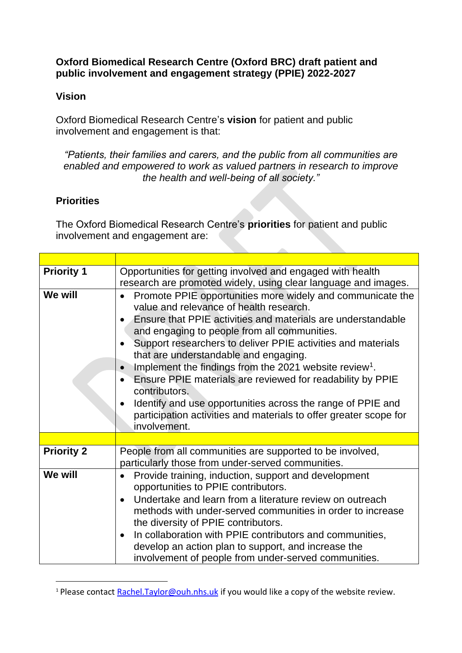## **Oxford Biomedical Research Centre (Oxford BRC) draft patient and public involvement and engagement strategy (PPIE) 2022-2027**

## **Vision**

Oxford Biomedical Research Centre's **vision** for patient and public involvement and engagement is that:

*"Patients, their families and carers, and the public from all communities are enabled and empowered to work as valued partners in research to improve the health and well-being of all society."*

## **Priorities**

The Oxford Biomedical Research Centre's **priorities** for patient and public involvement and engagement are:

| <b>Priority 1</b> | Opportunities for getting involved and engaged with health                                                                                                                                                                                                                                                                                                                                                                                                                                                                                                                                                                                                                     |
|-------------------|--------------------------------------------------------------------------------------------------------------------------------------------------------------------------------------------------------------------------------------------------------------------------------------------------------------------------------------------------------------------------------------------------------------------------------------------------------------------------------------------------------------------------------------------------------------------------------------------------------------------------------------------------------------------------------|
|                   | research are promoted widely, using clear language and images.                                                                                                                                                                                                                                                                                                                                                                                                                                                                                                                                                                                                                 |
| We will           | Promote PPIE opportunities more widely and communicate the<br>value and relevance of health research.<br>Ensure that PPIE activities and materials are understandable<br>$\bullet$<br>and engaging to people from all communities.<br>Support researchers to deliver PPIE activities and materials<br>$\bullet$<br>that are understandable and engaging.<br>Implement the findings from the 2021 website review <sup>1</sup> .<br>Ensure PPIE materials are reviewed for readability by PPIE<br>$\bullet$<br>contributors.<br>Identify and use opportunities across the range of PPIE and<br>participation activities and materials to offer greater scope for<br>involvement. |
|                   |                                                                                                                                                                                                                                                                                                                                                                                                                                                                                                                                                                                                                                                                                |
| <b>Priority 2</b> | People from all communities are supported to be involved,<br>particularly those from under-served communities.                                                                                                                                                                                                                                                                                                                                                                                                                                                                                                                                                                 |
| We will           | Provide training, induction, support and development<br>$\bullet$<br>opportunities to PPIE contributors.<br>Undertake and learn from a literature review on outreach<br>$\bullet$<br>methods with under-served communities in order to increase<br>the diversity of PPIE contributors.<br>In collaboration with PPIE contributors and communities,<br>$\bullet$<br>develop an action plan to support, and increase the<br>involvement of people from under-served communities.                                                                                                                                                                                                 |

<sup>&</sup>lt;sup>1</sup> Please contact [Rachel.Taylor@ouh.nhs.uk](mailto:Rachel.Taylor@ouh.nhs.uk) if you would like a copy of the website review.